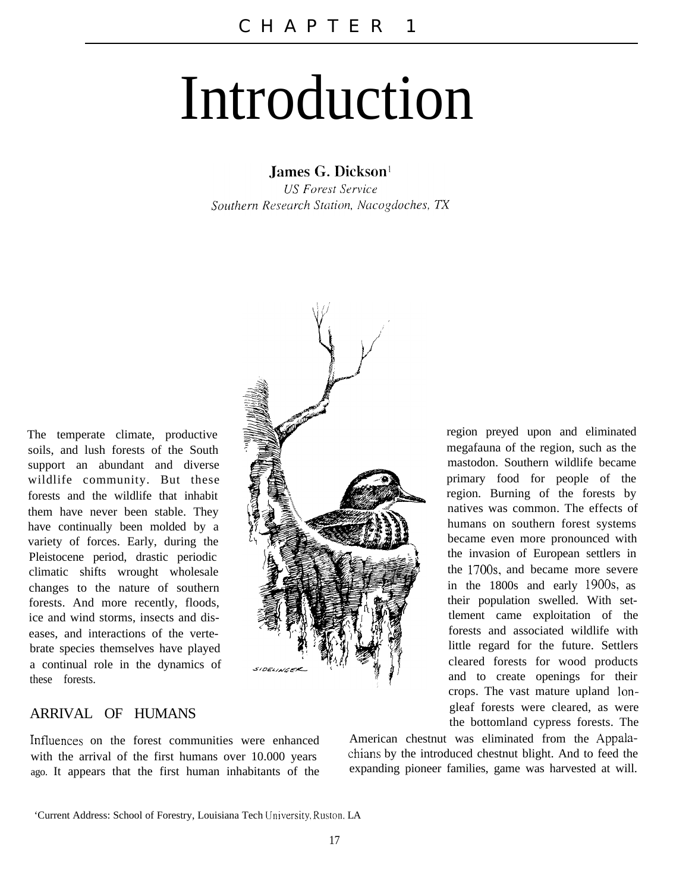## Introduction

James G. Dickson!

**US Forest Service** Southern Research Station, Nacogdoches, TX

The temperate climate, productive soils, and lush forests of the South support an abundant and diverse wildlife community. But these forests and the wildlife that inhabit them have never been stable. They have continually been molded by a variety of forces. Early, during the Pleistocene period, drastic periodic climatic shifts wrought wholesale changes to the nature of southern forests. And more recently, floods, ice and wind storms, insects and diseases, and interactions of the vertebrate species themselves have played a continual role in the dynamics of these forests.



region preyed upon and eliminated megafauna of the region, such as the mastodon. Southern wildlife became primary food for people of the region. Burning of the forests by natives was common. The effects of humans on southern forest systems became even more pronounced with the invasion of European settlers in the 1700s, and became more severe in the 1800s and early 19OOs, as their population swelled. With settlement came exploitation of the forests and associated wildlife with little regard for the future. Settlers cleared forests for wood products and to create openings for their crops. The vast mature upland longleaf forests were cleared, as were the bottomland cypress forests. The

## ARRIVAL OF HUMANS

Influences on the forest communities were enhanced with the arrival of the first humans over 10.000 years ago. It appears that the first human inhabitants of the

American chestnut was eliminated from the Appalachians by the introduced chestnut blight. And to feed the expanding pioneer families, game was harvested at will.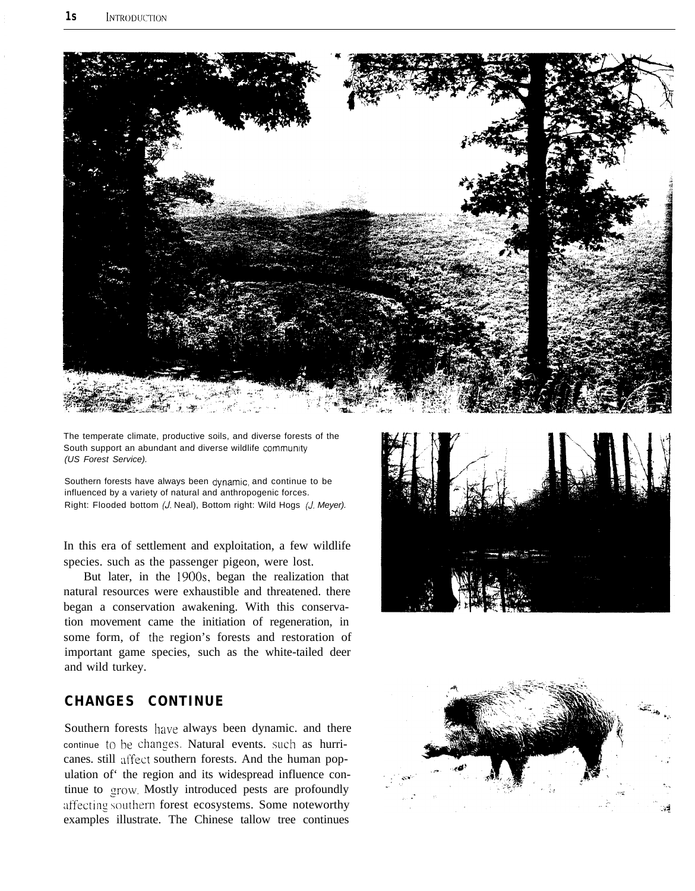

The temperate climate, productive soils, and diverse forests of the South support an abundant and diverse wildlife community *(US Forest Service).*

Southern forests have always been dynamic, and continue to be influenced by a variety of natural and anthropogenic forces. Right: Flooded bottom (J. Neal), Bottom right: Wild Hogs *(J. Meyer).*

In this era of settlement and exploitation, a few wildlife species. such as the passenger pigeon, were lost.

But later, in the 19OOs, began the realization that natural resources were exhaustible and threatened. there began a conservation awakening. With this conservation movement came the initiation of regeneration, in some form, of the region's forests and restoration of important game species, such as the white-tailed deer and wild turkey.

## **CHANGES CONTINUE**

Southern forests have always been dynamic. and there continue to be changes. Natural events. such as hurricanes. still affect southern forests. And the human population of' the region and its widespread influence continue to grow. Mostly introduced pests are profoundly affecting southern forest ecosystems. Some noteworthy examples illustrate. The Chinese tallow tree continues